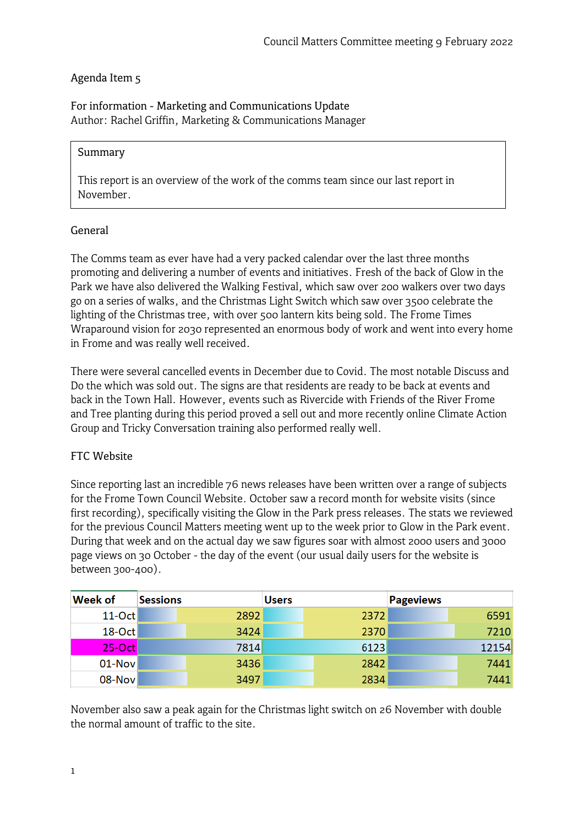# Agenda Item 5

For information - Marketing and Communications Update Author: Rachel Griffin, Marketing & Communications Manager

#### Summary

This report is an overview of the work of the comms team since our last report in November.

### General

The Comms team as ever have had a very packed calendar over the last three months promoting and delivering a number of events and initiatives. Fresh of the back of Glow in the Park we have also delivered the Walking Festival, which saw over 200 walkers over two days go on a series of walks, and the Christmas Light Switch which saw over 3500 celebrate the lighting of the Christmas tree, with over 500 lantern kits being sold. The Frome Times Wraparound vision for 2030 represented an enormous body of work and went into every home in Frome and was really well received.

There were several cancelled events in December due to Covid. The most notable Discuss and Do the which was sold out. The signs are that residents are ready to be back at events and back in the Town Hall. However, events such as Rivercide with Friends of the River Frome and Tree planting during this period proved a sell out and more recently online Climate Action Group and Tricky Conversation training also performed really well.

### FTC Website

Since reporting last an incredible 76 news releases have been written over a range of subjects for the Frome Town Council Website. October saw a record month for website visits (since first recording), specifically visiting the Glow in the Park press releases. The stats we reviewed for the previous Council Matters meeting went up to the week prior to Glow in the Park event. During that week and on the actual day we saw figures soar with almost 2000 users and 3000 page views on 30 October - the day of the event (our usual daily users for the website is between 3oo-400).

| Week of   | <b>Sessions</b> | <b>Users</b> | <b>Pageviews</b> |
|-----------|-----------------|--------------|------------------|
| $11$ -Oct | 2892            | 2372         | 6591             |
| $18$ -Oct | 3424            | 2370         | 7210             |
| $25-Oct$  | 7814            | 6123         | 12154            |
| $01$ -Nov | 3436            | 2842         | 7441             |
| $08-Nov$  | 3497            | 2834         | 7441             |

November also saw a peak again for the Christmas light switch on 26 November with double the normal amount of traffic to the site.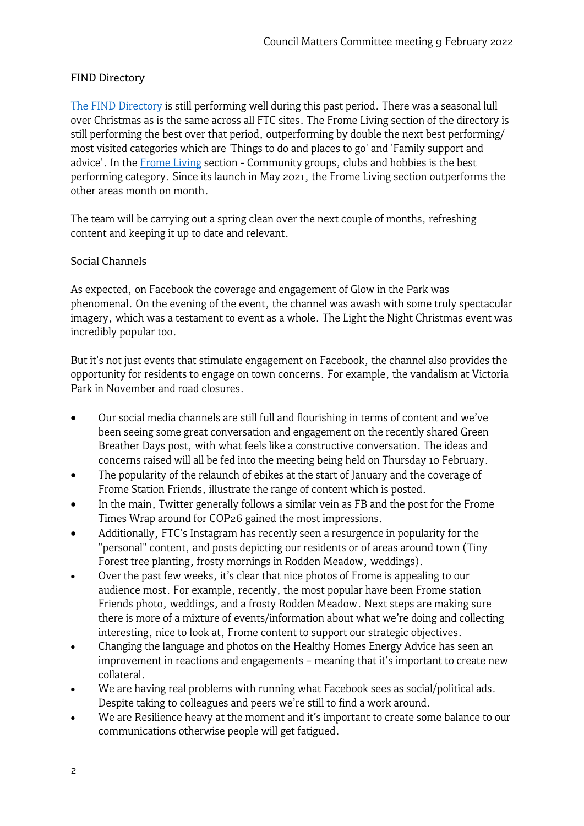## FIND Directory

[The FIND Directory](https://www.frometowncouncil.gov.uk/find/) is still performing well during this past period. There was a seasonal lull over Christmas as is the same across all FTC sites. The Frome Living section of the directory is still performing the best over that period, outperforming by double the next best performing/ most visited categories which are 'Things to do and places to go' and 'Family support and advice'. In the [Frome Living](https://www.frometowncouncil.gov.uk/find/frome-living/) section - Community groups, clubs and hobbies is the best performing category. Since its launch in May 2021, the Frome Living section outperforms the other areas month on month.

The team will be carrying out a spring clean over the next couple of months, refreshing content and keeping it up to date and relevant.

### Social Channels

As expected, on Facebook the coverage and engagement of Glow in the Park was phenomenal. On the evening of the event, the channel was awash with some truly spectacular imagery, which was a testament to event as a whole. The Light the Night Christmas event was incredibly popular too.

But it's not just events that stimulate engagement on Facebook, the channel also provides the opportunity for residents to engage on town concerns. For example, the vandalism at Victoria Park in November and road closures.

- Our social media channels are still full and flourishing in terms of content and we've been seeing some great conversation and engagement on the recently shared Green Breather Days post, with what feels like a constructive conversation. The ideas and concerns raised will all be fed into the meeting being held on Thursday 10 February.
- The popularity of the relaunch of ebikes at the start of January and the coverage of Frome Station Friends, illustrate the range of content which is posted.
- In the main, Twitter generally follows a similar vein as FB and the post for the Frome Times Wrap around for COP26 gained the most impressions.
- Additionally, FTC's Instagram has recently seen a resurgence in popularity for the "personal" content, and posts depicting our residents or of areas around town (Tiny Forest tree planting, frosty mornings in Rodden Meadow, weddings).
- Over the past few weeks, it's clear that nice photos of Frome is appealing to our audience most. For example, recently, the most popular have been Frome station Friends photo, weddings, and a frosty Rodden Meadow. Next steps are making sure there is more of a mixture of events/information about what we're doing and collecting interesting, nice to look at, Frome content to support our strategic objectives.
- Changing the language and photos on the Healthy Homes Energy Advice has seen an improvement in reactions and engagements – meaning that it's important to create new collateral.
- We are having real problems with running what Facebook sees as social/political ads. Despite taking to colleagues and peers we're still to find a work around.
- We are Resilience heavy at the moment and it's important to create some balance to our communications otherwise people will get fatigued.